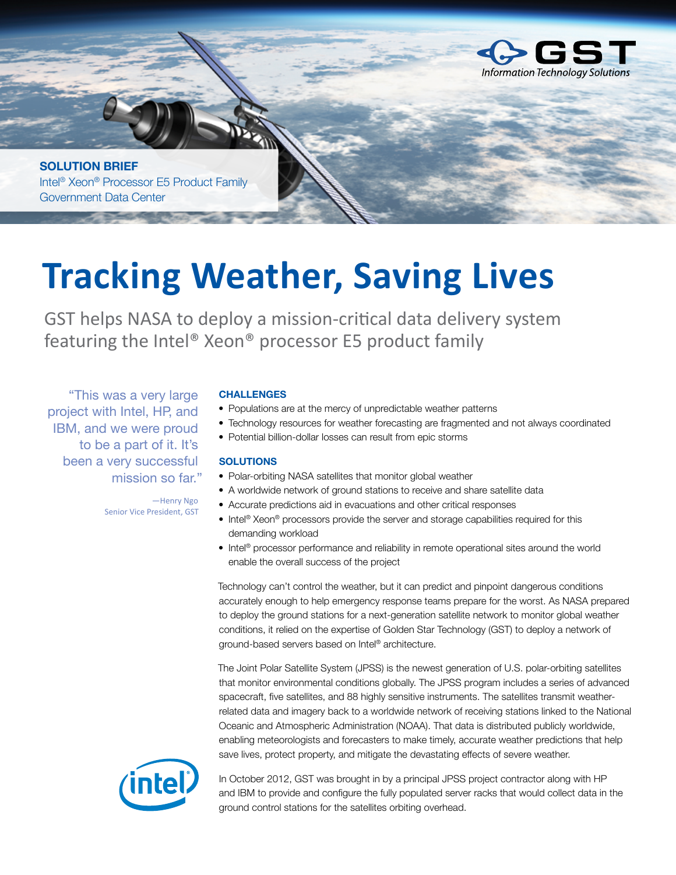

**SOLUTION BRIEF** Intel® Xeon® Processor E5 Product Family Government Data Center

# **Tracking Weather, Saving Lives**

GST helps NASA to deploy a mission-critical data delivery system featuring the Intel® Xeon® processor E5 product family

"This was a very large project with Intel, HP, and IBM, and we were proud to be a part of it. It's been a very successful mission so far."

### **CHALLENGES**

- Populations are at the mercy of unpredictable weather patterns
- Technology resources for weather forecasting are fragmented and not always coordinated
- Potential billion-dollar losses can result from epic storms

### **SOLUTIONS**

- Polar-orbiting NASA satellites that monitor global weather
- A worldwide network of ground stations to receive and share satellite data
- Accurate predictions aid in evacuations and other critical responses
- Intel® Xeon® processors provide the server and storage capabilities required for this demanding workload
- Intel® processor performance and reliability in remote operational sites around the world enable the overall success of the project

Technology can't control the weather, but it can predict and pinpoint dangerous conditions accurately enough to help emergency response teams prepare for the worst. As NASA prepared to deploy the ground stations for a next-generation satellite network to monitor global weather conditions, it relied on the expertise of Golden Star Technology (GST) to deploy a network of ground-based servers based on Intel® architecture.

The Joint Polar Satellite System (JPSS) is the newest generation of U.S. polar-orbiting satellites that monitor environmental conditions globally. The JPSS program includes a series of advanced spacecraft, five satellites, and 88 highly sensitive instruments. The satellites transmit weatherrelated data and imagery back to a worldwide network of receiving stations linked to the National Oceanic and Atmospheric Administration (NOAA). That data is distributed publicly worldwide, enabling meteorologists and forecasters to make timely, accurate weather predictions that help save lives, protect property, and mitigate the devastating effects of severe weather.



In October 2012, GST was brought in by a principal JPSS project contractor along with HP and IBM to provide and configure the fully populated server racks that would collect data in the ground control stations for the satellites orbiting overhead.

—Henry Ngo Senior Vice President, GST